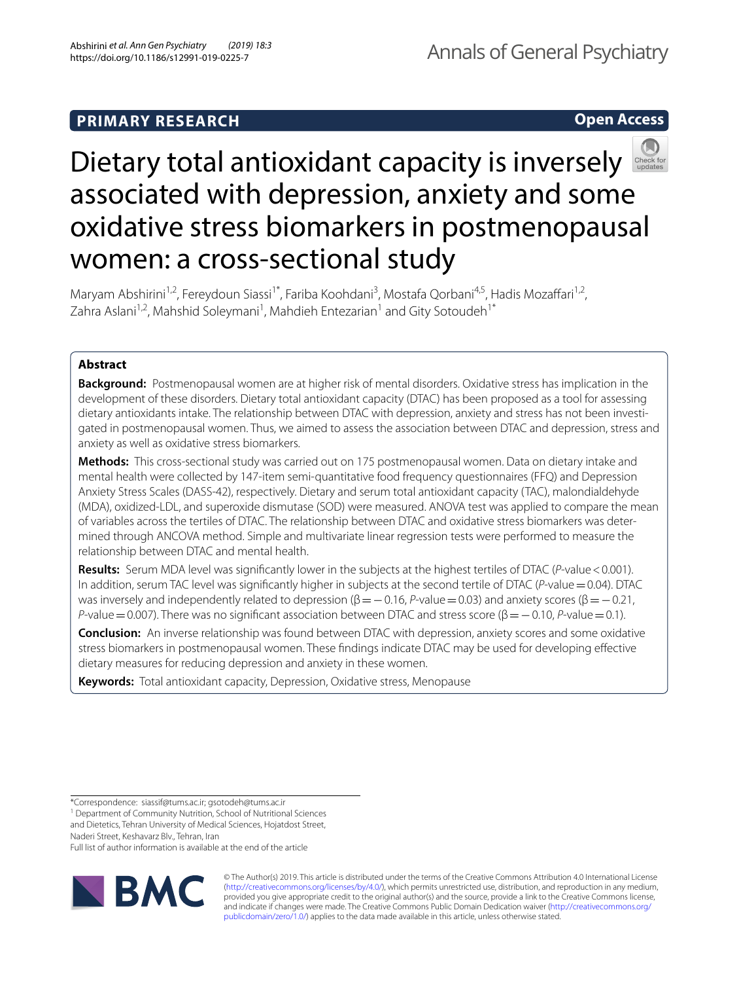# **PRIMARY RESEARCH**

**Open Access**



Maryam Abshirini<sup>1,2</sup>, Fereydoun Siassi<sup>1\*</sup>, Fariba Koohdani<sup>3</sup>, Mostafa Qorbani<sup>4,5</sup>, Hadis Mozaffari<sup>1,2</sup>, Zahra Aslani<sup>1,2</sup>, Mahshid Soleymani<sup>1</sup>, Mahdieh Entezarian<sup>1</sup> and Gity Sotoudeh<sup>1\*</sup>

# **Abstract**

**Background:** Postmenopausal women are at higher risk of mental disorders. Oxidative stress has implication in the development of these disorders. Dietary total antioxidant capacity (DTAC) has been proposed as a tool for assessing dietary antioxidants intake. The relationship between DTAC with depression, anxiety and stress has not been investigated in postmenopausal women. Thus, we aimed to assess the association between DTAC and depression, stress and anxiety as well as oxidative stress biomarkers.

**Methods:** This cross-sectional study was carried out on 175 postmenopausal women. Data on dietary intake and mental health were collected by 147-item semi-quantitative food frequency questionnaires (FFQ) and Depression Anxiety Stress Scales (DASS-42), respectively. Dietary and serum total antioxidant capacity (TAC), malondialdehyde (MDA), oxidized-LDL, and superoxide dismutase (SOD) were measured. ANOVA test was applied to compare the mean of variables across the tertiles of DTAC. The relationship between DTAC and oxidative stress biomarkers was determined through ANCOVA method. Simple and multivariate linear regression tests were performed to measure the relationship between DTAC and mental health.

**Results:** Serum MDA level was signifcantly lower in the subjects at the highest tertiles of DTAC (*P*-value<0.001). In addition, serum TAC level was significantly higher in subjects at the second tertile of DTAC (*P*-value = 0.04). DTAC was inversely and independently related to depression (β = − 0.16, *P*-value = 0.03) and anxiety scores (β = − 0.21, *P*-value = 0.007). There was no significant association between DTAC and stress score (β = − 0.10, *P*-value = 0.1).

**Conclusion:** An inverse relationship was found between DTAC with depression, anxiety scores and some oxidative stress biomarkers in postmenopausal women. These fndings indicate DTAC may be used for developing efective dietary measures for reducing depression and anxiety in these women.

**Keywords:** Total antioxidant capacity, Depression, Oxidative stress, Menopause

Naderi Street, Keshavarz Blv., Tehran, Iran

Full list of author information is available at the end of the article



© The Author(s) 2019. This article is distributed under the terms of the Creative Commons Attribution 4.0 International License [\(http://creativecommons.org/licenses/by/4.0/\)](http://creativecommons.org/licenses/by/4.0/), which permits unrestricted use, distribution, and reproduction in any medium, provided you give appropriate credit to the original author(s) and the source, provide a link to the Creative Commons license, and indicate if changes were made. The Creative Commons Public Domain Dedication waiver ([http://creativecommons.org/](http://creativecommons.org/publicdomain/zero/1.0/) [publicdomain/zero/1.0/](http://creativecommons.org/publicdomain/zero/1.0/)) applies to the data made available in this article, unless otherwise stated.

<sup>\*</sup>Correspondence: siassif@tums.ac.ir; gsotodeh@tums.ac.ir

<sup>&</sup>lt;sup>1</sup> Department of Community Nutrition, School of Nutritional Sciences

and Dietetics, Tehran University of Medical Sciences, Hojatdost Street,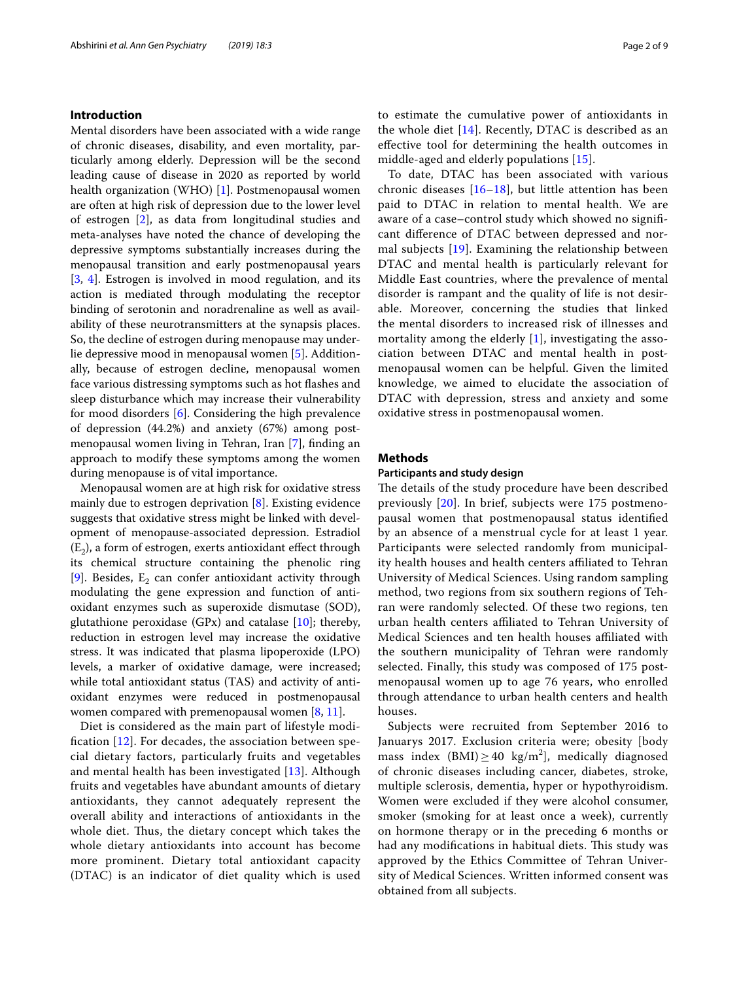# **Introduction**

Mental disorders have been associated with a wide range of chronic diseases, disability, and even mortality, particularly among elderly. Depression will be the second leading cause of disease in 2020 as reported by world health organization (WHO) [[1](#page-7-0)]. Postmenopausal women are often at high risk of depression due to the lower level of estrogen [[2](#page-7-1)], as data from longitudinal studies and meta-analyses have noted the chance of developing the depressive symptoms substantially increases during the menopausal transition and early postmenopausal years [[3,](#page-7-2) [4\]](#page-7-3). Estrogen is involved in mood regulation, and its action is mediated through modulating the receptor binding of serotonin and noradrenaline as well as availability of these neurotransmitters at the synapsis places. So, the decline of estrogen during menopause may underlie depressive mood in menopausal women [[5\]](#page-7-4). Additionally, because of estrogen decline, menopausal women face various distressing symptoms such as hot fashes and sleep disturbance which may increase their vulnerability for mood disorders [[6\]](#page-7-5). Considering the high prevalence of depression (44.2%) and anxiety (67%) among postmenopausal women living in Tehran, Iran [[7](#page-7-6)], fnding an approach to modify these symptoms among the women during menopause is of vital importance.

Menopausal women are at high risk for oxidative stress mainly due to estrogen deprivation [\[8](#page-7-7)]. Existing evidence suggests that oxidative stress might be linked with development of menopause-associated depression. Estradiol  $(E_2)$ , a form of estrogen, exerts antioxidant effect through its chemical structure containing the phenolic ring [[9\]](#page-8-0). Besides,  $E_2$  can confer antioxidant activity through modulating the gene expression and function of antioxidant enzymes such as superoxide dismutase (SOD), glutathione peroxidase (GPx) and catalase  $[10]$  $[10]$ ; thereby, reduction in estrogen level may increase the oxidative stress. It was indicated that plasma lipoperoxide (LPO) levels, a marker of oxidative damage, were increased; while total antioxidant status (TAS) and activity of antioxidant enzymes were reduced in postmenopausal women compared with premenopausal women [[8,](#page-7-7) [11\]](#page-8-2).

Diet is considered as the main part of lifestyle modifcation [\[12\]](#page-8-3). For decades, the association between special dietary factors, particularly fruits and vegetables and mental health has been investigated [\[13](#page-8-4)]. Although fruits and vegetables have abundant amounts of dietary antioxidants, they cannot adequately represent the overall ability and interactions of antioxidants in the whole diet. Thus, the dietary concept which takes the whole dietary antioxidants into account has become more prominent. Dietary total antioxidant capacity (DTAC) is an indicator of diet quality which is used to estimate the cumulative power of antioxidants in the whole diet [\[14](#page-8-5)]. Recently, DTAC is described as an efective tool for determining the health outcomes in middle-aged and elderly populations [\[15](#page-8-6)].

To date, DTAC has been associated with various chronic diseases  $[16–18]$  $[16–18]$  $[16–18]$  $[16–18]$ , but little attention has been paid to DTAC in relation to mental health. We are aware of a case–control study which showed no signifcant diference of DTAC between depressed and normal subjects [[19\]](#page-8-9). Examining the relationship between DTAC and mental health is particularly relevant for Middle East countries, where the prevalence of mental disorder is rampant and the quality of life is not desirable. Moreover, concerning the studies that linked the mental disorders to increased risk of illnesses and mortality among the elderly [[1](#page-7-0)], investigating the association between DTAC and mental health in postmenopausal women can be helpful. Given the limited knowledge, we aimed to elucidate the association of DTAC with depression, stress and anxiety and some oxidative stress in postmenopausal women.

# **Methods**

# **Participants and study design**

The details of the study procedure have been described previously [\[20](#page-8-10)]. In brief, subjects were 175 postmenopausal women that postmenopausal status identifed by an absence of a menstrual cycle for at least 1 year. Participants were selected randomly from municipality health houses and health centers afliated to Tehran University of Medical Sciences. Using random sampling method, two regions from six southern regions of Tehran were randomly selected. Of these two regions, ten urban health centers affiliated to Tehran University of Medical Sciences and ten health houses afliated with the southern municipality of Tehran were randomly selected. Finally, this study was composed of 175 postmenopausal women up to age 76 years, who enrolled through attendance to urban health centers and health houses.

Subjects were recruited from September 2016 to Januarys 2017. Exclusion criteria were; obesity [body mass index  $(BMI) \ge 40$  kg/m<sup>2</sup>], medically diagnosed of chronic diseases including cancer, diabetes, stroke, multiple sclerosis, dementia, hyper or hypothyroidism. Women were excluded if they were alcohol consumer, smoker (smoking for at least once a week), currently on hormone therapy or in the preceding 6 months or had any modifications in habitual diets. This study was approved by the Ethics Committee of Tehran University of Medical Sciences. Written informed consent was obtained from all subjects.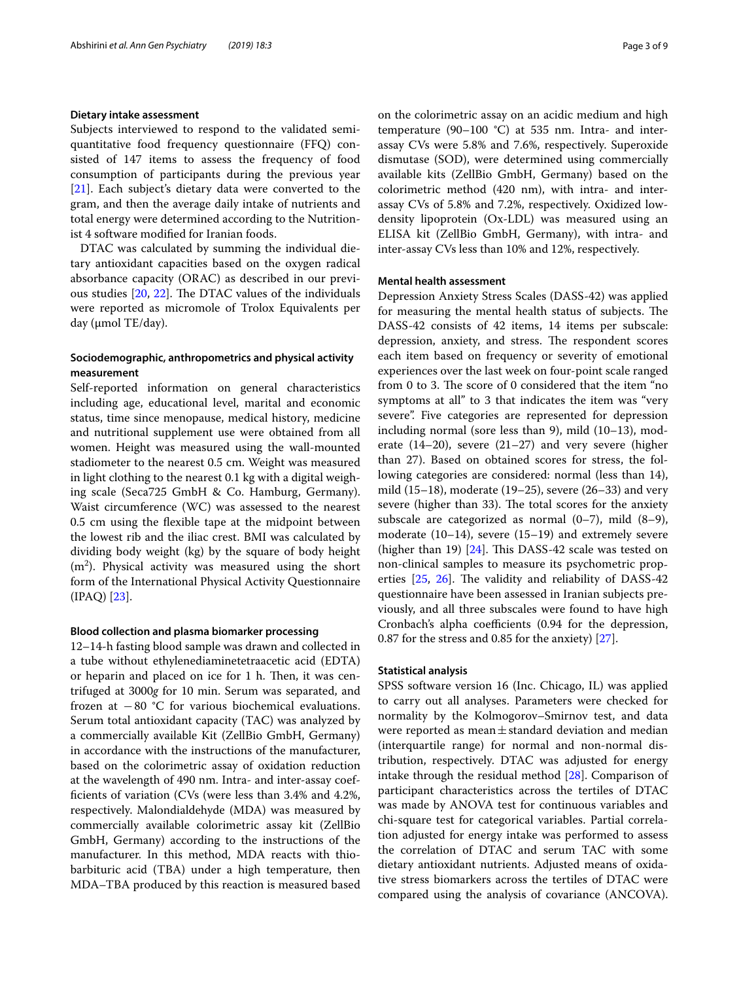# **Dietary intake assessment**

Subjects interviewed to respond to the validated semiquantitative food frequency questionnaire (FFQ) consisted of 147 items to assess the frequency of food consumption of participants during the previous year [[21\]](#page-8-11). Each subject's dietary data were converted to the gram, and then the average daily intake of nutrients and total energy were determined according to the Nutritionist 4 software modifed for Iranian foods.

DTAC was calculated by summing the individual dietary antioxidant capacities based on the oxygen radical absorbance capacity (ORAC) as described in our previous studies  $[20, 22]$  $[20, 22]$  $[20, 22]$  $[20, 22]$ . The DTAC values of the individuals were reported as micromole of Trolox Equivalents per day (µmol TE/day).

# **Sociodemographic, anthropometrics and physical activity measurement**

Self-reported information on general characteristics including age, educational level, marital and economic status, time since menopause, medical history, medicine and nutritional supplement use were obtained from all women. Height was measured using the wall-mounted stadiometer to the nearest 0.5 cm. Weight was measured in light clothing to the nearest 0.1 kg with a digital weighing scale (Seca725 GmbH & Co. Hamburg, Germany). Waist circumference (WC) was assessed to the nearest 0.5 cm using the fexible tape at the midpoint between the lowest rib and the iliac crest. BMI was calculated by dividing body weight (kg) by the square of body height  $(m<sup>2</sup>)$ . Physical activity was measured using the short form of the International Physical Activity Questionnaire (IPAQ) [\[23](#page-8-13)].

# **Blood collection and plasma biomarker processing**

12–14-h fasting blood sample was drawn and collected in a tube without ethylenediaminetetraacetic acid (EDTA) or heparin and placed on ice for  $1$  h. Then, it was centrifuged at 3000*g* for 10 min. Serum was separated, and frozen at  $-80$  °C for various biochemical evaluations. Serum total antioxidant capacity (TAC) was analyzed by a commercially available Kit (ZellBio GmbH, Germany) in accordance with the instructions of the manufacturer, based on the colorimetric assay of oxidation reduction at the wavelength of 490 nm. Intra- and inter-assay coeffcients of variation (CVs (were less than 3.4% and 4.2%, respectively. Malondialdehyde (MDA) was measured by commercially available colorimetric assay kit (ZellBio GmbH, Germany) according to the instructions of the manufacturer. In this method, MDA reacts with thiobarbituric acid (TBA) under a high temperature, then MDA–TBA produced by this reaction is measured based on the colorimetric assay on an acidic medium and high temperature  $(90-100 \degree C)$  at 535 nm. Intra- and interassay CVs were 5.8% and 7.6%, respectively. Superoxide dismutase (SOD), were determined using commercially available kits (ZellBio GmbH, Germany) based on the colorimetric method (420 nm), with intra- and interassay CVs of 5.8% and 7.2%, respectively. Oxidized lowdensity lipoprotein (Ox-LDL) was measured using an ELISA kit (ZellBio GmbH, Germany), with intra- and inter-assay CVs less than 10% and 12%, respectively.

# **Mental health assessment**

Depression Anxiety Stress Scales (DASS-42) was applied for measuring the mental health status of subjects. The DASS-42 consists of 42 items, 14 items per subscale: depression, anxiety, and stress. The respondent scores each item based on frequency or severity of emotional experiences over the last week on four-point scale ranged from 0 to 3. The score of 0 considered that the item "no symptoms at all" to 3 that indicates the item was "very severe". Five categories are represented for depression including normal (sore less than 9), mild (10–13), moderate (14–20), severe (21–27) and very severe (higher than 27). Based on obtained scores for stress, the following categories are considered: normal (less than 14), mild (15–18), moderate (19–25), severe (26–33) and very severe (higher than 33). The total scores for the anxiety subscale are categorized as normal  $(0-7)$ , mild  $(8-9)$ , moderate (10–14), severe (15–19) and extremely severe (higher than 19)  $[24]$  $[24]$  $[24]$ . This DASS-42 scale was tested on non-clinical samples to measure its psychometric properties  $[25, 26]$  $[25, 26]$  $[25, 26]$  $[25, 26]$  $[25, 26]$ . The validity and reliability of DASS-42 questionnaire have been assessed in Iranian subjects previously, and all three subscales were found to have high Cronbach's alpha coefficients (0.94 for the depression, 0.87 for the stress and 0.85 for the anxiety) [\[27\]](#page-8-17).

# **Statistical analysis**

SPSS software version 16 (Inc. Chicago, IL) was applied to carry out all analyses. Parameters were checked for normality by the Kolmogorov–Smirnov test, and data were reported as mean $\pm$ standard deviation and median (interquartile range) for normal and non-normal distribution, respectively. DTAC was adjusted for energy intake through the residual method [\[28](#page-8-18)]. Comparison of participant characteristics across the tertiles of DTAC was made by ANOVA test for continuous variables and chi-square test for categorical variables. Partial correlation adjusted for energy intake was performed to assess the correlation of DTAC and serum TAC with some dietary antioxidant nutrients. Adjusted means of oxidative stress biomarkers across the tertiles of DTAC were compared using the analysis of covariance (ANCOVA).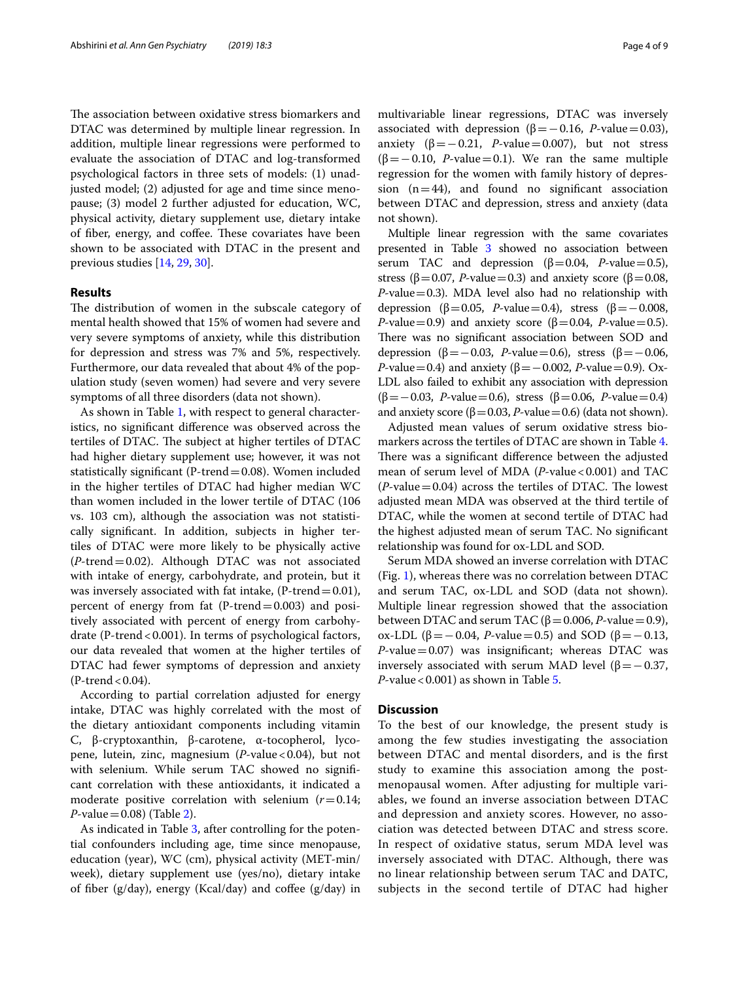The association between oxidative stress biomarkers and DTAC was determined by multiple linear regression. In addition, multiple linear regressions were performed to evaluate the association of DTAC and log-transformed psychological factors in three sets of models: (1) unadjusted model; (2) adjusted for age and time since menopause; (3) model 2 further adjusted for education, WC, physical activity, dietary supplement use, dietary intake of fiber, energy, and coffee. These covariates have been shown to be associated with DTAC in the present and previous studies [\[14](#page-8-5), [29](#page-8-19), [30\]](#page-8-20).

## **Results**

The distribution of women in the subscale category of mental health showed that 15% of women had severe and very severe symptoms of anxiety, while this distribution for depression and stress was 7% and 5%, respectively. Furthermore, our data revealed that about 4% of the population study (seven women) had severe and very severe symptoms of all three disorders (data not shown).

As shown in Table [1,](#page-4-0) with respect to general characteristics, no signifcant diference was observed across the tertiles of DTAC. The subject at higher tertiles of DTAC had higher dietary supplement use; however, it was not statistically significant (P-trend  $=$  0.08). Women included in the higher tertiles of DTAC had higher median WC than women included in the lower tertile of DTAC (106 vs. 103 cm), although the association was not statistically signifcant. In addition, subjects in higher tertiles of DTAC were more likely to be physically active (*P*-trend=0.02). Although DTAC was not associated with intake of energy, carbohydrate, and protein, but it was inversely associated with fat intake,  $(P\text{-}trend=0.01)$ , percent of energy from fat  $(P-$ trend $= 0.003)$  and positively associated with percent of energy from carbohydrate (P-trend < 0.001). In terms of psychological factors, our data revealed that women at the higher tertiles of DTAC had fewer symptoms of depression and anxiety  $(P-$ trend < 0.04).

According to partial correlation adjusted for energy intake, DTAC was highly correlated with the most of the dietary antioxidant components including vitamin C, β-cryptoxanthin, β-carotene, α-tocopherol, lycopene, lutein, zinc, magnesium (*P*-value<0.04), but not with selenium. While serum TAC showed no signifcant correlation with these antioxidants, it indicated a moderate positive correlation with selenium (*r*=0.14; *P*-value =  $0.08$ ) (Table [2\)](#page-5-0).

As indicated in Table [3](#page-5-1), after controlling for the potential confounders including age, time since menopause, education (year), WC (cm), physical activity (MET-min/ week), dietary supplement use (yes/no), dietary intake of fiber (g/day), energy (Kcal/day) and coffee (g/day) in multivariable linear regressions, DTAC was inversely associated with depression ( $β = 0.16$ , *P*-value=0.03), anxiety (β = − 0.21, *P*-value = 0.007), but not stress  $(\beta = -0.10, P-value = 0.1)$ . We ran the same multiple regression for the women with family history of depression  $(n=44)$ , and found no significant association between DTAC and depression, stress and anxiety (data not shown).

Multiple linear regression with the same covariates presented in Table [3](#page-5-1) showed no association between serum TAC and depression ( $β=0.04$ , *P*-value=0.5), stress ( $\beta$ =0.07, *P*-value=0.3) and anxiety score ( $\beta$ =0.08, *P*-value=0.3). MDA level also had no relationship with depression ( $\beta$ =0.05, *P*-value=0.4), stress ( $\beta$ =−0.008, *P*-value=0.9) and anxiety score ( $\beta$ =0.04, *P*-value=0.5). There was no significant association between SOD and depression ( $\beta$ =−0.03, *P*-value=0.6), stress ( $\beta$ =−0.06, *P*-value=0.4) and anxiety (β=-0.002, *P*-value=0.9). Ox-LDL also failed to exhibit any association with depression (β=−0.03, *P*-value=0.6), stress (β=0.06, *P*-value=0.4) and anxiety score ( $\beta$  = 0.03, *P*-value = 0.6) (data not shown).

Adjusted mean values of serum oxidative stress biomarkers across the tertiles of DTAC are shown in Table [4](#page-5-2). There was a significant difference between the adjusted mean of serum level of MDA (*P*-value <0.001) and TAC  $(P$ -value = 0.04) across the tertiles of DTAC. The lowest adjusted mean MDA was observed at the third tertile of DTAC, while the women at second tertile of DTAC had the highest adjusted mean of serum TAC. No signifcant relationship was found for ox-LDL and SOD.

Serum MDA showed an inverse correlation with DTAC (Fig. [1](#page-6-0)), whereas there was no correlation between DTAC and serum TAC, ox-LDL and SOD (data not shown). Multiple linear regression showed that the association between DTAC and serum TAC ( $β = 0.006$ , *P*-value = 0.9), ox-LDL (β = −0.04, *P*-value = 0.5) and SOD (β = −0.13,  $P$ -value = 0.07) was insignificant; whereas DTAC was inversely associated with serum MAD level ( $β = -0.37$ , *P*-value < 0.001) as shown in Table [5](#page-6-1).

# **Discussion**

To the best of our knowledge, the present study is among the few studies investigating the association between DTAC and mental disorders, and is the frst study to examine this association among the postmenopausal women. After adjusting for multiple variables, we found an inverse association between DTAC and depression and anxiety scores. However, no association was detected between DTAC and stress score. In respect of oxidative status, serum MDA level was inversely associated with DTAC. Although, there was no linear relationship between serum TAC and DATC, subjects in the second tertile of DTAC had higher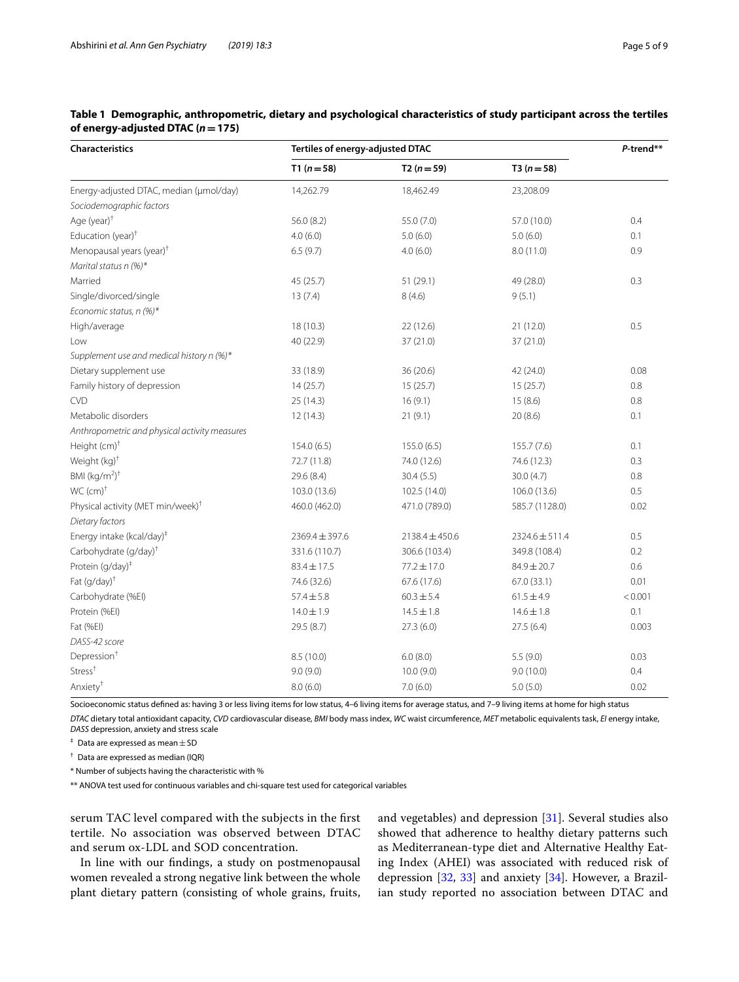| Characteristics                               | Tertiles of energy-adjusted DTAC | P-trend**          |                 |         |  |
|-----------------------------------------------|----------------------------------|--------------------|-----------------|---------|--|
|                                               | $T1(n=58)$                       | $T2(n=59)$         | $T3(n=58)$      |         |  |
| Energy-adjusted DTAC, median (µmol/day)       | 14,262.79                        | 18,462.49          | 23,208.09       |         |  |
| Sociodemographic factors                      |                                  |                    |                 |         |  |
| Age (year) <sup>+</sup>                       | 56.0(8.2)                        | 55.0 (7.0)         | 57.0 (10.0)     | 0.4     |  |
| Education (year) <sup>†</sup>                 | 4.0(6.0)                         | 5.0(6.0)           | 5.0(6.0)        | 0.1     |  |
| Menopausal years (year) <sup>†</sup>          | 6.5(9.7)                         | 4.0(6.0)           | 8.0 (11.0)      | 0.9     |  |
| Marital status $n$ (%)*                       |                                  |                    |                 |         |  |
| Married                                       | 45 (25.7)                        | 51(29.1)           | 49 (28.0)       | 0.3     |  |
| Single/divorced/single                        | 13(7.4)                          | 8(4.6)             | 9(5.1)          |         |  |
| Economic status, n (%)*                       |                                  |                    |                 |         |  |
| High/average                                  | 18 (10.3)                        | 22(12.6)           | 21(12.0)        | 0.5     |  |
| Low                                           | 40 (22.9)                        | 37 (21.0)          | 37 (21.0)       |         |  |
| Supplement use and medical history n (%)*     |                                  |                    |                 |         |  |
| Dietary supplement use                        | 33 (18.9)                        | 36(20.6)           | 42 (24.0)       | 0.08    |  |
| Family history of depression                  | 14(25.7)                         | 15(25.7)           | 15(25.7)        | 0.8     |  |
| <b>CVD</b>                                    | 25(14.3)                         | 16(9.1)            | 15(8.6)         | 0.8     |  |
| Metabolic disorders                           | 12(14.3)                         | 21(9.1)            | 20(8.6)         | 0.1     |  |
| Anthropometric and physical activity measures |                                  |                    |                 |         |  |
| Height (cm) <sup>+</sup>                      | 154.0(6.5)                       | 155.0(6.5)         | 155.7(7.6)      | 0.1     |  |
| Weight (kg) <sup>+</sup>                      | 72.7 (11.8)                      | 74.0 (12.6)        | 74.6 (12.3)     | 0.3     |  |
| BMI $(kg/m2)†$                                | 29.6 (8.4)                       | 30.4(5.5)          | 30.0(4.7)       | 0.8     |  |
| WC (cm) <sup>†</sup>                          | 103.0 (13.6)                     | 102.5 (14.0)       | 106.0 (13.6)    | 0.5     |  |
| Physical activity (MET min/week) <sup>†</sup> | 460.0 (462.0)                    | 471.0 (789.0)      | 585.7 (1128.0)  | 0.02    |  |
| Dietary factors                               |                                  |                    |                 |         |  |
| Energy intake (kcal/day) <sup>‡</sup>         | $2369.4 \pm 397.6$               | $2138.4 \pm 450.6$ | 2324.6 ± 511.4  | 0.5     |  |
| Carbohydrate (g/day) <sup>+</sup>             | 331.6 (110.7)                    | 306.6 (103.4)      | 349.8 (108.4)   | 0.2     |  |
| Protein (g/day) <sup>‡</sup>                  | $83.4 \pm 17.5$                  | $77.2 \pm 17.0$    | $84.9 \pm 20.7$ | 0.6     |  |
| Fat (g/day) <sup>+</sup>                      | 74.6 (32.6)                      | 67.6 (17.6)        | 67.0 (33.1)     | 0.01    |  |
| Carbohydrate (%EI)                            | $57.4 \pm 5.8$                   | $60.3 \pm 5.4$     | $61.5 \pm 4.9$  | < 0.001 |  |
| Protein (%EI)                                 | $14.0 \pm 1.9$                   | $14.5 \pm 1.8$     | $14.6 \pm 1.8$  | 0.1     |  |
| Fat (%EI)                                     | 29.5 (8.7)                       | 27.3(6.0)          | 27.5(6.4)       | 0.003   |  |
| DASS-42 score                                 |                                  |                    |                 |         |  |
| Depression <sup>+</sup>                       | 8.5(10.0)                        | 6.0(8.0)           | 5.5(9.0)        | 0.03    |  |
| Stress <sup>+</sup>                           | 9.0(9.0)                         | 10.0(9.0)          | 9.0(10.0)       | 0.4     |  |
| Anxiety <sup>†</sup>                          | 8.0(6.0)                         | 7.0(6.0)           | 5.0(5.0)        | 0.02    |  |

# <span id="page-4-0"></span>**Table 1 Demographic, anthropometric, dietary and psychological characteristics of study participant across the tertiles of energy-adjusted DTAC (***n***=175)**

Socioeconomic status defned as: having 3 or less living items for low status, 4–6 living items for average status, and 7–9 living items at home for high status

*DTAC* dietary total antioxidant capacity, *CVD* cardiovascular disease, *BMI* body mass index, *WC* waist circumference, *MET* metabolic equivalents task, *EI* energy intake, *DASS* depression, anxiety and stress scale

 $\dagger$  Data are expressed as mean  $\pm$  SD

† Data are expressed as median (IQR)

\* Number of subjects having the characteristic with %

\*\* ANOVA test used for continuous variables and chi-square test used for categorical variables

serum TAC level compared with the subjects in the frst tertile. No association was observed between DTAC and serum ox-LDL and SOD concentration.

In line with our fndings, a study on postmenopausal women revealed a strong negative link between the whole plant dietary pattern (consisting of whole grains, fruits, and vegetables) and depression [[31\]](#page-8-21). Several studies also showed that adherence to healthy dietary patterns such as Mediterranean-type diet and Alternative Healthy Eating Index (AHEI) was associated with reduced risk of depression [[32](#page-8-22), [33\]](#page-8-23) and anxiety [\[34](#page-8-24)]. However, a Brazilian study reported no association between DTAC and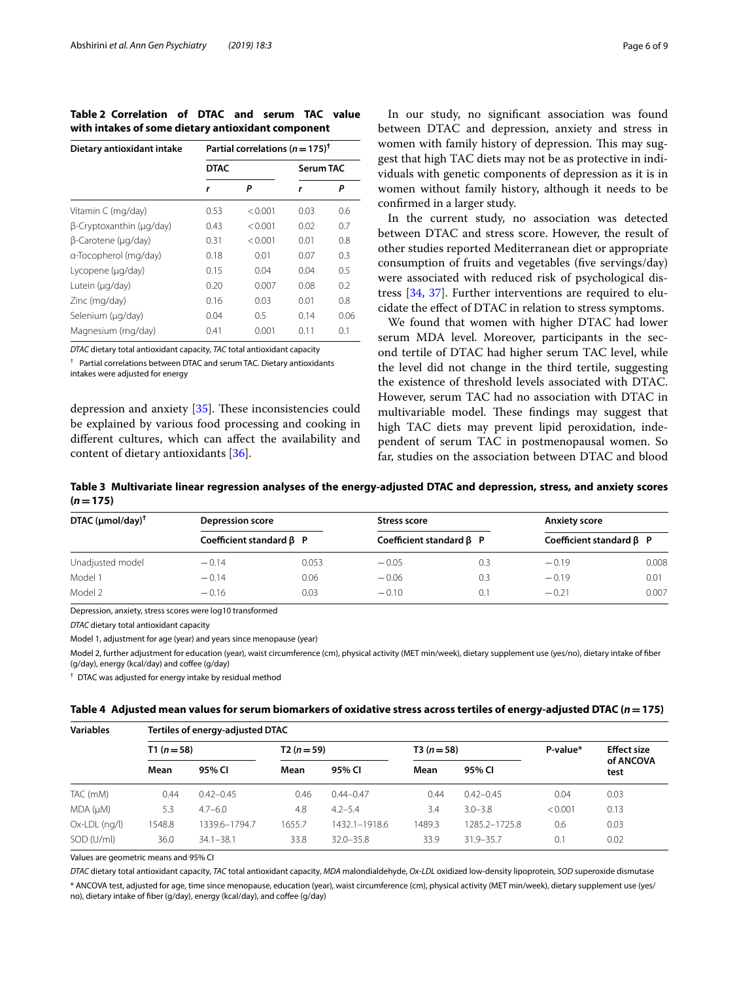<span id="page-5-0"></span>**Table 2 Correlation of DTAC and serum TAC value with intakes of some dietary antioxidant component**

| Dietary antioxidant intake | Partial correlations ( $n = 175$ ) <sup>†</sup> |         |           |      |  |  |  |
|----------------------------|-------------------------------------------------|---------|-----------|------|--|--|--|
|                            | <b>DTAC</b>                                     |         | Serum TAC |      |  |  |  |
|                            | r                                               | Ρ       | r         | Ρ    |  |  |  |
| Vitamin C (mg/day)         | 0.53                                            | < 0.001 | 0.03      | 0.6  |  |  |  |
| β-Cryptoxanthin (μg/day)   | 0.43                                            | < 0.001 | 0.02      | 0.7  |  |  |  |
| B-Carotene (µg/day)        | 0.31                                            | < 0.001 | 0.01      | 0.8  |  |  |  |
| a-Tocopherol (mg/day)      | 0.18                                            | 0.01    | 0.07      | 0.3  |  |  |  |
| Lycopene (µg/day)          | 0.15                                            | 0.04    | 0.04      | 0.5  |  |  |  |
| Lutein (µg/day)            | 0.20                                            | 0.007   | 0.08      | 0.2  |  |  |  |
| Zinc (mg/day)              | 0.16                                            | 0.03    | 0.01      | 0.8  |  |  |  |
| Selenium (µg/day)          | 0.04                                            | 0.5     | 0.14      | 0.06 |  |  |  |
| Magnesium (mg/day)         | 0.41                                            | 0.001   | 0.11      | 0.1  |  |  |  |

*DTAC* dietary total antioxidant capacity, *TAC* total antioxidant capacity

† Partial correlations between DTAC and serum TAC. Dietary antioxidants intakes were adjusted for energy

depression and anxiety [[35\]](#page-8-25). These inconsistencies could be explained by various food processing and cooking in diferent cultures, which can afect the availability and content of dietary antioxidants [[36](#page-8-26)].

In our study, no signifcant association was found between DTAC and depression, anxiety and stress in women with family history of depression. This may suggest that high TAC diets may not be as protective in individuals with genetic components of depression as it is in women without family history, although it needs to be confrmed in a larger study.

In the current study, no association was detected between DTAC and stress score. However, the result of other studies reported Mediterranean diet or appropriate consumption of fruits and vegetables (fve servings/day) were associated with reduced risk of psychological distress [\[34](#page-8-24), [37\]](#page-8-27). Further interventions are required to elucidate the efect of DTAC in relation to stress symptoms.

We found that women with higher DTAC had lower serum MDA level. Moreover, participants in the second tertile of DTAC had higher serum TAC level, while the level did not change in the third tertile, suggesting the existence of threshold levels associated with DTAC. However, serum TAC had no association with DTAC in multivariable model. These findings may suggest that high TAC diets may prevent lipid peroxidation, independent of serum TAC in postmenopausal women. So far, studies on the association between DTAC and blood

<span id="page-5-1"></span>**Table 3 Multivariate linear regression analyses of the energy-adjusted DTAC and depression, stress, and anxiety scores**   $(n = 175)$ 

| DTAC $(\mu \text{mol}/\text{day})^{\dagger}$ | <b>Depression score</b>        |       | Stress score                   |     | <b>Anxiety score</b>           |       |
|----------------------------------------------|--------------------------------|-------|--------------------------------|-----|--------------------------------|-------|
|                                              | Coefficient standard $\beta$ P |       | Coefficient standard $\beta$ P |     | Coefficient standard $\beta$ P |       |
| Unadjusted model                             | $-0.14$                        | 0.053 | $-0.05$                        | 0.3 | $-0.19$                        | 0.008 |
| Model 1                                      | $-0.14$                        | 0.06  | $-0.06$                        | 0.3 | $-0.19$                        | 0.01  |
| Model 2                                      | $-0.16$                        | 0.03  | $-0.10$                        | 0.1 | $-0.21$                        | 0.007 |

Depression, anxiety, stress scores were log10 transformed

*DTAC* dietary total antioxidant capacity

Model 1, adjustment for age (year) and years since menopause (year)

Model 2, further adjustment for education (year), waist circumference (cm), physical activity (MET min/week), dietary supplement use (yes/no), dietary intake of fber (g/day), energy (kcal/day) and coffee (g/day)

† DTAC was adjusted for energy intake by residual method

<span id="page-5-2"></span>

| Table 4 Adjusted mean values for serum biomarkers of oxidative stress across tertiles of energy-adjusted DTAC $(n=175)$ |  |
|-------------------------------------------------------------------------------------------------------------------------|--|
|-------------------------------------------------------------------------------------------------------------------------|--|

| <b>Variables</b> | Tertiles of energy-adjusted DTAC |               |            |               |            |               |          |                    |  |
|------------------|----------------------------------|---------------|------------|---------------|------------|---------------|----------|--------------------|--|
|                  | $T1(n=58)$                       |               | $T2(n=59)$ |               | $T3(n=58)$ |               | P-value* | <b>Effect size</b> |  |
|                  | Mean                             | 95% CI        | Mean       | 95% CI        | Mean       | 95% CI        |          | of ANCOVA<br>test  |  |
| TAC (mM)         | 0.44                             | $0.42 - 0.45$ | 0.46       | $0.44 - 0.47$ | 0.44       | $0.42 - 0.45$ | 0.04     | 0.03               |  |
| MDA (µM)         | 5.3                              | $4.7 - 6.0$   | 4.8        | $4.2 - 5.4$   | 3.4        | $3.0 - 3.8$   | < 0.001  | 0.13               |  |
| Ox-LDL (ng/l)    | 1548.8                           | 1339.6-1794.7 | 1655.7     | 1432.1-1918.6 | 1489.3     | 1285.2-1725.8 | 0.6      | 0.03               |  |
| SOD (U/ml)       | 36.0                             | $34.1 - 38.1$ | 33.8       | $32.0 - 35.8$ | 33.9       | $31.9 - 35.7$ | 0.1      | 0.02               |  |

Values are geometric means and 95% CI

*DTAC* dietary total antioxidant capacity, *TAC* total antioxidant capacity, *MDA* malondialdehyde, *Ox-LDL* oxidized low-density lipoprotein, *SOD* superoxide dismutase \* ANCOVA test, adjusted for age, time since menopause, education (year), waist circumference (cm), physical activity (MET min/week), dietary supplement use (yes/ no), dietary intake of fber (g/day), energy (kcal/day), and cofee (g/day)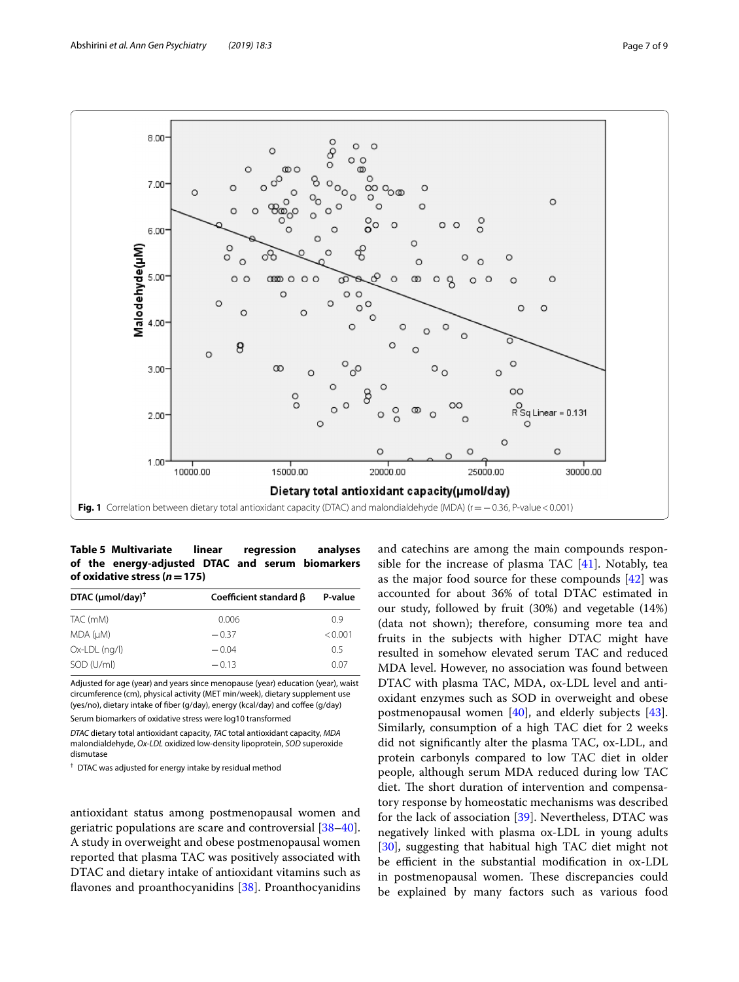

<span id="page-6-1"></span><span id="page-6-0"></span>**Table 5 Multivariate linear regression analyses of the energy-adjusted DTAC and serum biomarkers of oxidative stress (***n***=175)**

| DTAC $(\mu \text{mol}/\text{day})^{\dagger}$ | Coefficient standard $\beta$ | P-value |
|----------------------------------------------|------------------------------|---------|
| TAC (mM)                                     | 0.006                        | 09      |
| MDA (µM)                                     | $-0.37$                      | < 0.001 |
| $Ox$ -LDL $(nq/l)$                           | $-0.04$                      | 0.5     |
| SOD (U/ml)                                   | $-0.13$                      | 0.07    |

Adjusted for age (year) and years since menopause (year) education (year), waist circumference (cm), physical activity (MET min/week), dietary supplement use (yes/no), dietary intake of fber (g/day), energy (kcal/day) and cofee (g/day)

Serum biomarkers of oxidative stress were log10 transformed

*DTAC* dietary total antioxidant capacity, *TAC* total antioxidant capacity, *MDA* malondialdehyde, *Ox-LDL* oxidized low-density lipoprotein, *SOD* superoxide dismutase

† DTAC was adjusted for energy intake by residual method

antioxidant status among postmenopausal women and geriatric populations are scare and controversial [[38](#page-8-28)[–40](#page-8-29)]. A study in overweight and obese postmenopausal women reported that plasma TAC was positively associated with DTAC and dietary intake of antioxidant vitamins such as flavones and proanthocyanidins [[38\]](#page-8-28). Proanthocyanidins and catechins are among the main compounds responsible for the increase of plasma TAC [[41\]](#page-8-30). Notably, tea as the major food source for these compounds [[42\]](#page-8-31) was accounted for about 36% of total DTAC estimated in our study, followed by fruit (30%) and vegetable (14%) (data not shown); therefore, consuming more tea and fruits in the subjects with higher DTAC might have resulted in somehow elevated serum TAC and reduced MDA level. However, no association was found between DTAC with plasma TAC, MDA, ox-LDL level and antioxidant enzymes such as SOD in overweight and obese postmenopausal women [\[40\]](#page-8-29), and elderly subjects [\[43](#page-8-32)]. Similarly, consumption of a high TAC diet for 2 weeks did not signifcantly alter the plasma TAC, ox-LDL, and protein carbonyls compared to low TAC diet in older people, although serum MDA reduced during low TAC diet. The short duration of intervention and compensatory response by homeostatic mechanisms was described for the lack of association [\[39](#page-8-33)]. Nevertheless, DTAC was negatively linked with plasma ox-LDL in young adults [[30\]](#page-8-20), suggesting that habitual high TAC diet might not be efficient in the substantial modification in ox-LDL in postmenopausal women. These discrepancies could be explained by many factors such as various food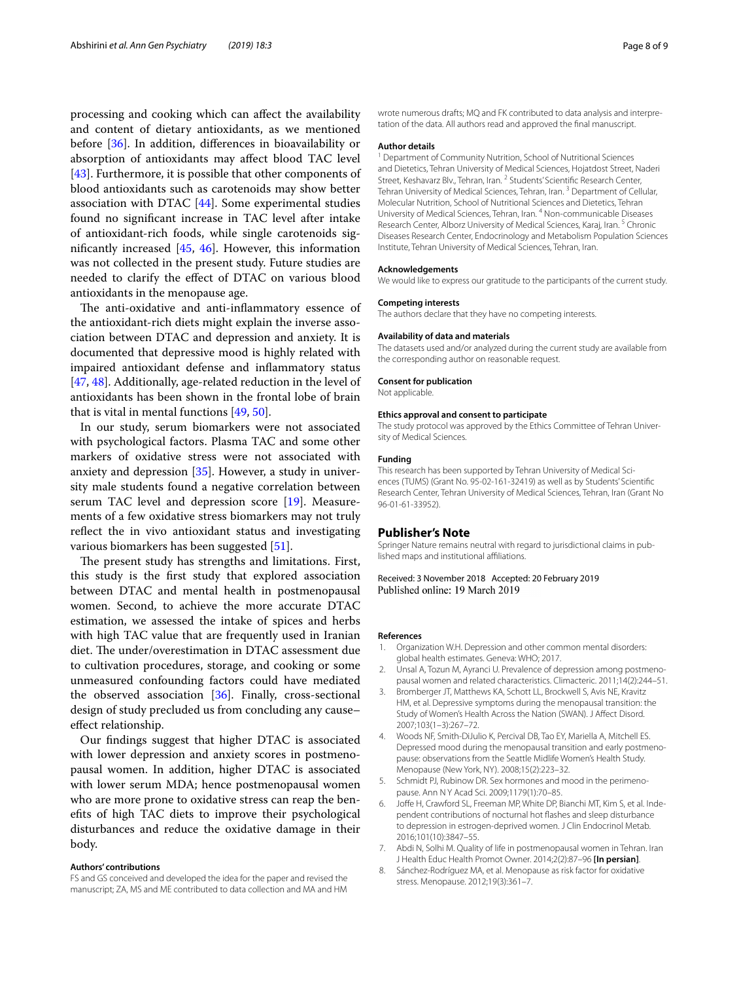processing and cooking which can afect the availability and content of dietary antioxidants, as we mentioned before [[36](#page-8-26)]. In addition, diferences in bioavailability or absorption of antioxidants may afect blood TAC level [[43\]](#page-8-32). Furthermore, it is possible that other components of blood antioxidants such as carotenoids may show better association with DTAC [\[44\]](#page-8-34). Some experimental studies found no signifcant increase in TAC level after intake of antioxidant-rich foods, while single carotenoids signifcantly increased [[45,](#page-8-35) [46\]](#page-8-36). However, this information was not collected in the present study. Future studies are needed to clarify the efect of DTAC on various blood antioxidants in the menopause age.

The anti-oxidative and anti-inflammatory essence of the antioxidant-rich diets might explain the inverse association between DTAC and depression and anxiety. It is documented that depressive mood is highly related with impaired antioxidant defense and infammatory status [[47,](#page-8-37) [48](#page-8-38)]. Additionally, age-related reduction in the level of antioxidants has been shown in the frontal lobe of brain that is vital in mental functions [\[49,](#page-8-39) [50](#page-8-40)].

In our study, serum biomarkers were not associated with psychological factors. Plasma TAC and some other markers of oxidative stress were not associated with anxiety and depression [[35\]](#page-8-25). However, a study in university male students found a negative correlation between serum TAC level and depression score [[19\]](#page-8-9). Measurements of a few oxidative stress biomarkers may not truly refect the in vivo antioxidant status and investigating various biomarkers has been suggested [[51\]](#page-8-41).

The present study has strengths and limitations. First, this study is the frst study that explored association between DTAC and mental health in postmenopausal women. Second, to achieve the more accurate DTAC estimation, we assessed the intake of spices and herbs with high TAC value that are frequently used in Iranian diet. The under/overestimation in DTAC assessment due to cultivation procedures, storage, and cooking or some unmeasured confounding factors could have mediated the observed association [\[36](#page-8-26)]. Finally, cross-sectional design of study precluded us from concluding any cause– efect relationship.

Our fndings suggest that higher DTAC is associated with lower depression and anxiety scores in postmenopausal women. In addition, higher DTAC is associated with lower serum MDA; hence postmenopausal women who are more prone to oxidative stress can reap the benefts of high TAC diets to improve their psychological disturbances and reduce the oxidative damage in their body.

### **Authors' contributions**

FS and GS conceived and developed the idea for the paper and revised the manuscript; ZA, MS and ME contributed to data collection and MA and HM

wrote numerous drafts; MQ and FK contributed to data analysis and interpretation of the data. All authors read and approved the fnal manuscript.

### **Author details**

<sup>1</sup> Department of Community Nutrition, School of Nutritional Sciences and Dietetics, Tehran University of Medical Sciences, Hojatdost Street, Naderi Street, Keshavarz Blv., Tehran, Iran. <sup>2</sup> Students' Scientific Research Center, Tehran University of Medical Sciences, Tehran, Iran.<sup>3</sup> Department of Cellular, Molecular Nutrition, School of Nutritional Sciences and Dietetics, Tehran University of Medical Sciences, Tehran, Iran. 4 Non-communicable Diseases Research Center, Alborz University of Medical Sciences, Karaj, Iran.<sup>5</sup> Chronic Diseases Research Center, Endocrinology and Metabolism Population Sciences Institute, Tehran University of Medical Sciences, Tehran, Iran.

#### **Acknowledgements**

We would like to express our gratitude to the participants of the current study.

### **Competing interests**

The authors declare that they have no competing interests.

### **Availability of data and materials**

The datasets used and/or analyzed during the current study are available from the corresponding author on reasonable request.

### **Consent for publication**

Not applicable.

### **Ethics approval and consent to participate**

The study protocol was approved by the Ethics Committee of Tehran University of Medical Sciences.

### **Funding**

This research has been supported by Tehran University of Medical Sciences (TUMS) (Grant No. 95-02-161-32419) as well as by Students' Scientifc Research Center, Tehran University of Medical Sciences, Tehran, Iran (Grant No 96-01-61-33952).

## **Publisher's Note**

Springer Nature remains neutral with regard to jurisdictional claims in published maps and institutional afliations.

Received: 3 November 2018 Accepted: 20 February 2019

#### **References**

- <span id="page-7-0"></span>1. Organization W.H. Depression and other common mental disorders: global health estimates. Geneva: WHO; 2017.
- <span id="page-7-1"></span>2. Unsal A, Tozun M, Ayranci U. Prevalence of depression among postmenopausal women and related characteristics. Climacteric. 2011;14(2):244–51.
- <span id="page-7-2"></span>3. Bromberger JT, Matthews KA, Schott LL, Brockwell S, Avis NE, Kravitz HM, et al. Depressive symptoms during the menopausal transition: the Study of Women's Health Across the Nation (SWAN). J Afect Disord. 2007;103(1–3):267–72.
- <span id="page-7-3"></span>4. Woods NF, Smith-DiJulio K, Percival DB, Tao EY, Mariella A, Mitchell ES. Depressed mood during the menopausal transition and early postmenopause: observations from the Seattle Midlife Women's Health Study. Menopause (New York, NY). 2008;15(2):223–32.
- <span id="page-7-4"></span>5. Schmidt PJ, Rubinow DR. Sex hormones and mood in the perimenopause. Ann N Y Acad Sci. 2009;1179(1):70–85.
- <span id="page-7-5"></span>6. Jofe H, Crawford SL, Freeman MP, White DP, Bianchi MT, Kim S, et al. Independent contributions of nocturnal hot fashes and sleep disturbance to depression in estrogen-deprived women. J Clin Endocrinol Metab. 2016;101(10):3847–55.
- <span id="page-7-6"></span>7. Abdi N, Solhi M. Quality of life in postmenopausal women in Tehran. Iran J Health Educ Health Promot Owner. 2014;2(2):87–96 **[In persian]**.
- <span id="page-7-7"></span>8. Sánchez-Rodríguez MA, et al. Menopause as risk factor for oxidative stress. Menopause. 2012;19(3):361–7.